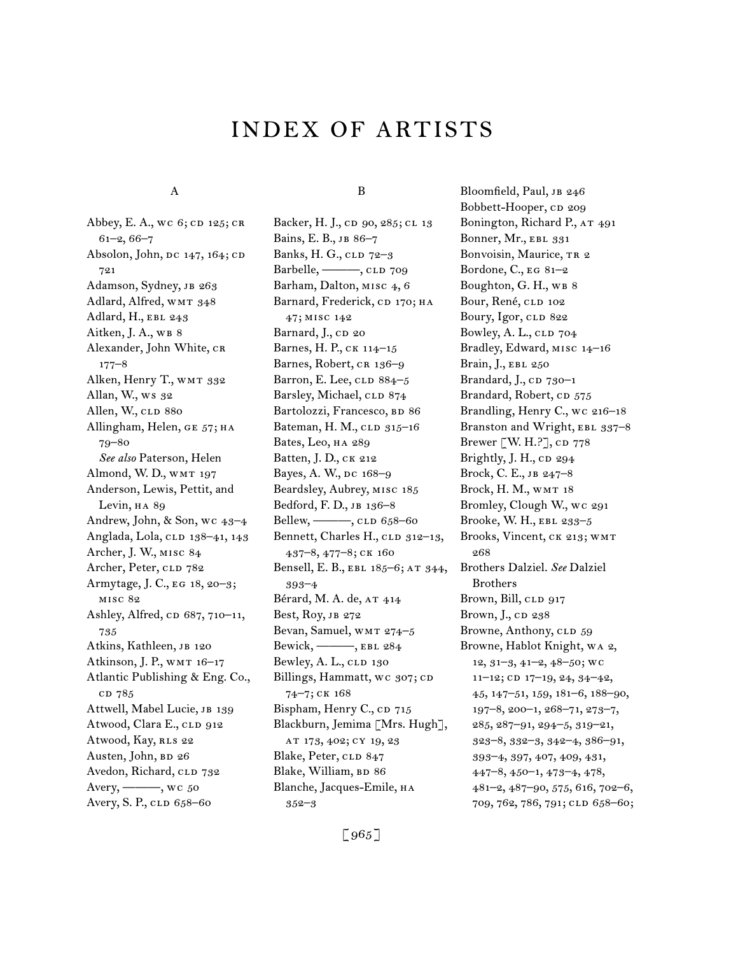# INDEX of artists

#### A

Abbey, E. A., wc 6; CD 125; CR 61–2, 66–7 Absolon, John,  $pc$  147, 164;  $CD$ 721 Adamson, Sydney, JB 263 Adlard, Alfred, WMT 348 Adlard, H., EBL 243 Aitken, J. A., WB 8 Alexander, John White, cr 177–8 Alken, Henry T., WMT 332 Allan, W., ws 32 Allen, W., CLD 880 Allingham, Helen, GE 57; HA 79–80 *See also* Paterson, Helen Almond, W. D., WMT 197 Anderson, Lewis, Pettit, and Levin, HA 89 Andrew, John, & Son, wc 43–4 Anglada, Lola, CLD 138-41, 143 Archer, J. W., misc 84 Archer, Peter, CLD 782 Armytage, J. C., eg 18, 20–3; misc 82 Ashley, Alfred, cp 687, 710–11, 735 Atkins, Kathleen, JB 120 Atkinson, J. P., WMT 16–17 Atlantic Publishing & Eng. Co., cd 785 Attwell, Mabel Lucie, JB 139 Atwood, Clara E., CLD 912 Atwood, Kay, RLS 22 Austen, John, BD 26 Avedon, Richard, CLD 732 Avery, <u>——</u>, wc 50 Avery, S. P., CLD 658-60

#### B

Backer, H. J., cD 90, 285; CL 13 Bains, E. B., JB 86-7 Banks, H. G., cLD 72-3 Barbelle, ——, CLD 709 Barham, Dalton, MISC 4, 6 Barnard, Frederick, CD 170; HA 47; misc 142 Barnard, J., CD 20 Barnes, H. P., ck 114–15 Barnes, Robert, CR 136-9 Barron, E. Lee,  $CLD$   $884-5$ Barsley, Michael, CLD 874 Bartolozzi, Francesco, BD 86 Bateman, H. M., CLD 315-16 Bates, Leo, ha 289 Batten, J. D., ck 212 Bayes, A. W., DC 168-9 Beardsley, Aubrey, misc 185 Bedford, F. D., jb 136–8 Bellew, ——, CLD 658–60 Bennett, Charles H., CLD 312-13, 437–8, 477–8; ck 160 Bensell, E. B., EBL 185-6; AT 344, 393–4 Bérard, M. A. de, AT 414 Best, Roy, jb 272 Bevan, Samuel, WMT 274-5 Bewick, ———, ebl 284 Bewley, A.  $L_2$ ,  $CLD$  130 Billings, Hammatt, wc 307; cD 74–7; ck 168 Bispham, Henry C., CD 715 Blackburn, Jemima [Mrs. Hugh], at 173, 402; cy 19, 23 Blake, Peter, CLD 847 Blake, William, BD 86 Blanche, Jacques-Emile, ha 352–3

Bloomfield, Paul, JB 246 Bobbett-Hooper, cp 209 Bonington, Richard P., AT 491 Bonner, Mr., EBL 331 Bonvoisin, Maurice, TR 2 Bordone, C., eg 81–2 Boughton, G. H., WB 8 Bour, René, CLD 102 Boury, Igor, CLD 822 Bowley, A. L., CLD 704 Bradley, Edward, misc 14–16 Brain, J., EBL 250 Brandard, J.,  $CD$   $730-1$ Brandard, Robert, CD 575 Brandling, Henry C., wc 216–18 Branston and Wright, EBL 337-8 Brewer [W. H.?],  $CD$  778 Brightly, J. H.,  $CD$  294 Brock, C. E., jb 247–8 Brock, H. M., wmt 18 Bromley, Clough W., wc 291 Brooke, W. H., ebl 233–5 Brooks, Vincent, ck 213; wmt 268 Brothers Dalziel. *See* Dalziel Brothers Brown, Bill, CLD 917 Brown, J., cp 238 Browne, Anthony, CLD 59 Browne, Hablot Knight, wa 2, 12, 31–3, 41–2, 48–50; wc  $11-12$ ; CD  $17-19$ ,  $24$ ,  $34-42$ , 45, 147–51, 159, 181–6, 188–90, 197–8, 200–1, 268–71, 273–7, 285, 287–91, 294–5, 319–21, 323–8, 332–3, 342–4, 386–91, 393–4, 397, 407, 409, 431, 447–8, 450–1, 473–4, 478, 481–2, 487–90, 575, 616, 702–6, 709, 762, 786, 791; CLD 658-60;

 $[965]$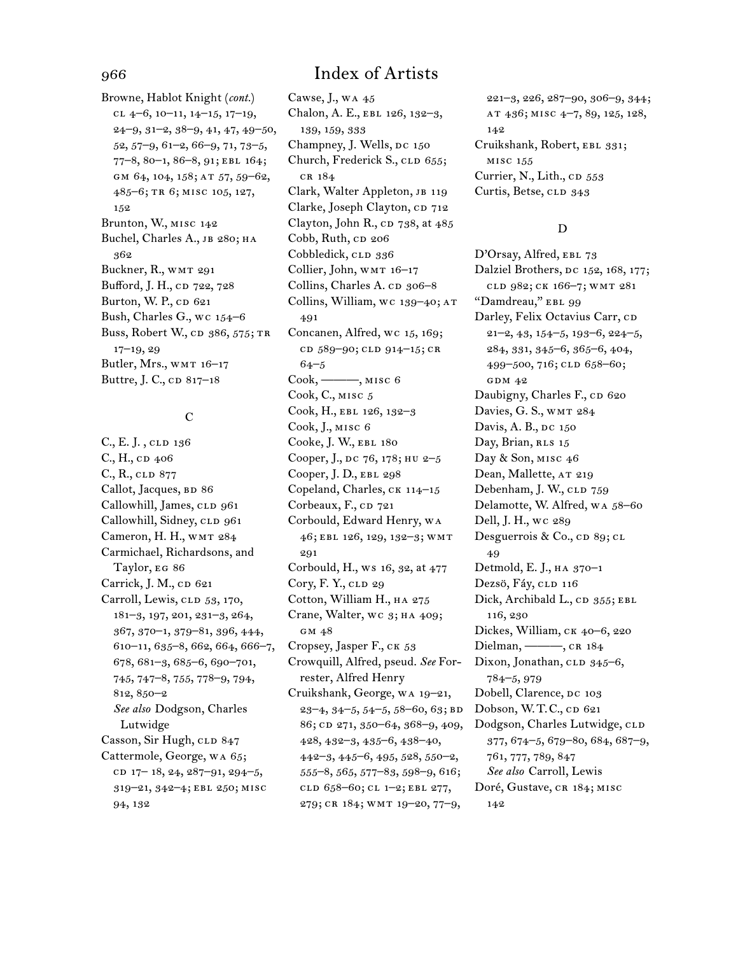Browne, Hablot Knight (*cont.*) cl 4–6, 10–11, 14–15, 17–19, 24–9, 31–2, 38–9, 41, 47, 49–50, 52, 57–9, 61–2, 66–9, 71, 73–5, 77–8, 80–1, 86–8, 91; ebl 164; gm 64, 104, 158; at 57, 59–62, 485–6; tr 6; misc 105, 127, 152 Brunton, W., misc 142 Buchel, Charles A., JB 280; HA 362 Buckner, R., WMT 291 Bufford, J. H., cp 722, 728 Burton, W. P., CD 621 Bush, Charles G., wc 154–6 Buss, Robert W., CD 386, 575; TR 17–19, 29 Butler, Mrs., WMT 16-17 Buttre, J. C., cp 817–18

### $\overline{C}$

C., E. J., cld 136  $C, H, CD, 406$ C., R., cld 877 Callot, Jacques, BD 86 Callowhill, James, CLD 961 Callowhill, Sidney, CLD 961 Cameron, H. H., wmt 284 Carmichael, Richardsons, and Taylor, eg 86 Carrick, J. M., CD 621 Carroll, Lewis, CLD 53, 170, 181–3, 197, 201, 231–3, 264, 367, 370–1, 379–81, 396, 444, 610–11, 635–8, 662, 664, 666–7, 678, 681–3, 685–6, 690–701, 745, 747–8, 755, 778–9, 794, 812, 850–2 *See also* Dodgson, Charles Lutwidge Casson, Sir Hugh, CLD 847 Cattermole, George, wa 65; co  $17-18$ ,  $24$ ,  $287-91$ ,  $294-5$ , 319–21, 342–4; ebl 250; misc 94, 132

## 966 Index of Artists

Cawse, J., wa 45 Chalon, A. E., EBL 126, 132-3, 139, 159, 333 Champney, J. Wells, DC 150 Church, Frederick S., CLD 655; cr 184 Clark, Walter Appleton, jb 119 Clarke, Joseph Clayton, CD 712 Clayton, John R., cp 738, at 485 Cobb, Ruth,  $CD$  206 Cobbledick, CLD 336 Collier, John, WMT 16-17 Collins, Charles A. cp 306-8 Collins, William, wc 139–40; at 491 Concanen, Alfred, wc 15, 169; cd 589–90; cld 914–15; cr 64–5 Cook, ———, misc 6 Cook, C., misc 5 Cook, H., ebl 126, 132–3 Cook, J., misc 6 Cooke, J. W., ebl 180 Cooper, J., DC 76, 178; HU 2-5 Cooper, J. D., ebl 298 Copeland, Charles, ck 114–15 Corbeaux, F., CD 721 Corbould, Edward Henry, wa 46; ebl 126, 129, 132–3; wmt 291 Corbould, H., ws 16, 32, at 477 Cory, F. Y., CLD 29 Cotton, William H., ha 275 Crane, Walter, WC 3; HA 409; gm 48 Cropsey, Jasper F., ck 53 Crowquill, Alfred, pseud. *See* Forrester, Alfred Henry Cruikshank, George, wa 19–21,  $23-4, 34-5, 54-5, 58-60, 63; BD$ 86; cd 271, 350–64, 368–9, 409, 428, 432–3, 435–6, 438–40, 442–3, 445–6, 495, 528, 550–2, 555–8, 565, 577–83, 598–9, 616; cld 658–60; cl 1–2; ebl 277, 279; cr 184; wmt 19–20, 77–9,

221–3, 226, 287–90, 306–9, 344; at 436; misc 4–7, 89, 125, 128, 142 Cruikshank, Robert, EBL 331; misc 155 Currier, N., Lith., CD 553 Curtis, Betse, CLD 343

#### D

D'Orsay, Alfred, EBL 73 Dalziel Brothers, DC 152, 168, 177; cld 982; ck 166–7; wmt 281 "Damdreau," EBL 99 Darley, Felix Octavius Carr, CD 21–2, 43, 154–5, 193–6, 224–5, 284, 331, 345–6, 365–6, 404, 499-500, 716; CLD 658-60; GDM 42 Daubigny, Charles F., CD 620 Davies, G. S., wmt 284 Davis, A. B., DC 150 Day, Brian, RLS 15 Day & Son, misc 46 Dean, Mallette, AT 219 Debenham, J. W., CLD 759 Delamotte, W. Alfred, wa 58–60 Dell, J. H., wc 289 Desguerrois & Co.,  $CD$  89;  $CL$ 49 Detmold, E. J., ha 370–1 Dezsö, Fáy, CLD 116 Dick, Archibald L., CD 355; EBL 116, 230 Dickes, William, ck 40–6, 220 Dielman, ——, CR 184 Dixon, Jonathan, CLD 345-6, 784–5, 979 Dobell, Clarence, DC 103 Dobson, W.T.C., cp 621 Dodgson, Charles Lutwidge, CLD 377, 674–5, 679–80, 684, 687–9, 761, 777, 789, 847 *See also* Carroll, Lewis Doré, Gustave, CR 184; MISC 142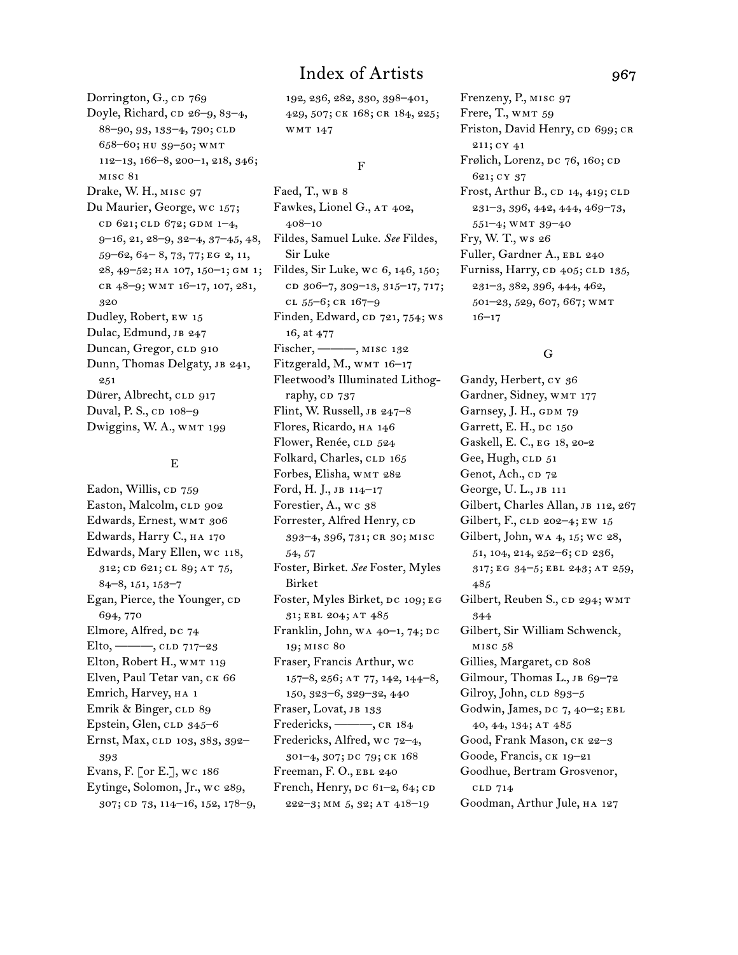Dorrington, G., cp 769 Doyle, Richard,  $CD$  26–9, 83–4, 88–90, 93, 133–4, 790; cld 658–60; hu 39–50; wmt 112–13, 166–8, 200–1, 218, 346; misc 81 Drake, W. H., misc 97 Du Maurier, George, wc 157; cd 621; cld 672; GDM 1-4, 9–16, 21, 28–9, 32–4, 37–45, 48, 59–62, 64– 8, 73, 77; eg 2, 11, cr 48–9; wmt 16–17, 107, 281, 320 Dudley, Robert, ew 15 Dulac, Edmund, JB 247 Duncan, Gregor, CLD 910 Dunn, Thomas Delgaty, JB 241, 251 Dürer, Albrecht, CLD 917 Duval, P. S., cp 108–9 Dwiggins, W. A., WMT 199

#### E

Eadon, Willis, CD 759 Easton, Malcolm, CLD 902 Edwards, Ernest, WMT 306 Edwards, Harry C., ha 170 Edwards, Mary Ellen, wc 118, 312; cd 621; cl 89; at 75, 84–8, 151, 153–7 Egan, Pierce, the Younger, CD 694, 770 Elmore, Alfred, DC 74 Elto, --------, CLD 717-23 Elton, Robert H., WMT 119 Elven, Paul Tetar van, ck 66 Emrich, Harvey, ha 1 Emrik & Binger, CLD 89 Epstein, Glen,  $CLD$  345–6 Ernst, Max, CLD 103, 383, 392-393 Evans, F. [or E.], wc 186 Eytinge, Solomon, Jr., wc 289, 307; cd 73, 114–16, 152, 178–9, 192, 236, 282, 330, 398–401, 429, 507; ck 168; cr 184, 225; wmt 147

#### F

28, 49–52; ha 107, 150–1; gm 1; Fildes, Sir Luke, wc 6, 146, 150; Faed, T., WB 8 Fawkes, Lionel G., at 402, 408–10 Fildes, Samuel Luke. *See* Fildes, Sir Luke cd 306–7, 309–13, 315–17, 717; cl 55–6; cr 167–9 Finden, Edward, CD 721, 754; ws 16, at 477 Fischer, ———, misc 132 Fitzgerald, M., WMT 16-17 Fleetwood's Illuminated Lithography, CD 737 Flint, W. Russell, jb 247–8 Flores, Ricardo, ha 146 Flower, Renée, CLD 524 Folkard, Charles, CLD 165 Forbes, Elisha, WMT 282 Ford, H. J., jb 114–17 Forestier, A., wc 38 Forrester, Alfred Henry, cD 393–4, 396, 731; cr 30; misc 54, 57 Foster, Birket. *See* Foster, Myles Birket Foster, Myles Birket, DC 109; EG 31; ebl 204; at 485 Franklin, John, wa 40-1, 74; DC 19; misc 80 Fraser, Francis Arthur, wc 157–8, 256; at 77, 142, 144–8, 150, 323–6, 329–32, 440 Fraser, Lovat, jb 133 Fredericks, ———, CR 184 Fredericks, Alfred, wc 72–4, 301–4, 307; dc 79; ck 168

Freeman, F.O., EBL 240 French, Henry,  $pc\ 61-2, 64$ ;  $CD$ 

222–3; mm 5, 32; at 418–19

Frenzeny, P., misc 97 Frere, T., WMT 59 Friston, David Henry, CD 699; CR 211; cy 41 Frølich, Lorenz, DC 76, 160; CD 621; cy 37 Frost, Arthur B.,  $CD$  14, 419;  $CLD$ 231–3, 396, 442, 444, 469–73, 551–4; wmt 39–40 Fry, W. T., ws 26 Fuller, Gardner A., ebl 240 Furniss, Harry, CD 405; CLD 135, 231–3, 382, 396, 444, 462, 501–23, 529, 607, 667; wmt 16–17

#### G

Gandy, Herbert, cy 36 Gardner, Sidney, WMT 177 Garnsey, J. H., GDM 79 Garrett, E. H., DC 150 Gaskell, E. C., eg 18, 20-2 Gee, Hugh, CLD 51 Genot, Ach., cp 72 George, U. L., jb 111 Gilbert, Charles Allan, JB 112, 267 Gilbert, F., CLD 202-4; EW 15 Gilbert, John, wa 4, 15; wc 28, 51, 104, 214, 252-6; CD 236, 317; eg 34–5; ebl 243; at 259, 485 Gilbert, Reuben S., CD 294; WMT 344 Gilbert, Sir William Schwenck, misc 58 Gillies, Margaret, cp 808 Gilmour, Thomas L., JB 69-72 Gilroy, John,  $CLD$  893–5 Godwin, James, DC 7, 40-2; EBL 40, 44, 134; at 485 Good, Frank Mason, ck 22–3 Goode, Francis, ck 19–21 Goodhue, Bertram Grosvenor, cld 714 Goodman, Arthur Jule, ha 127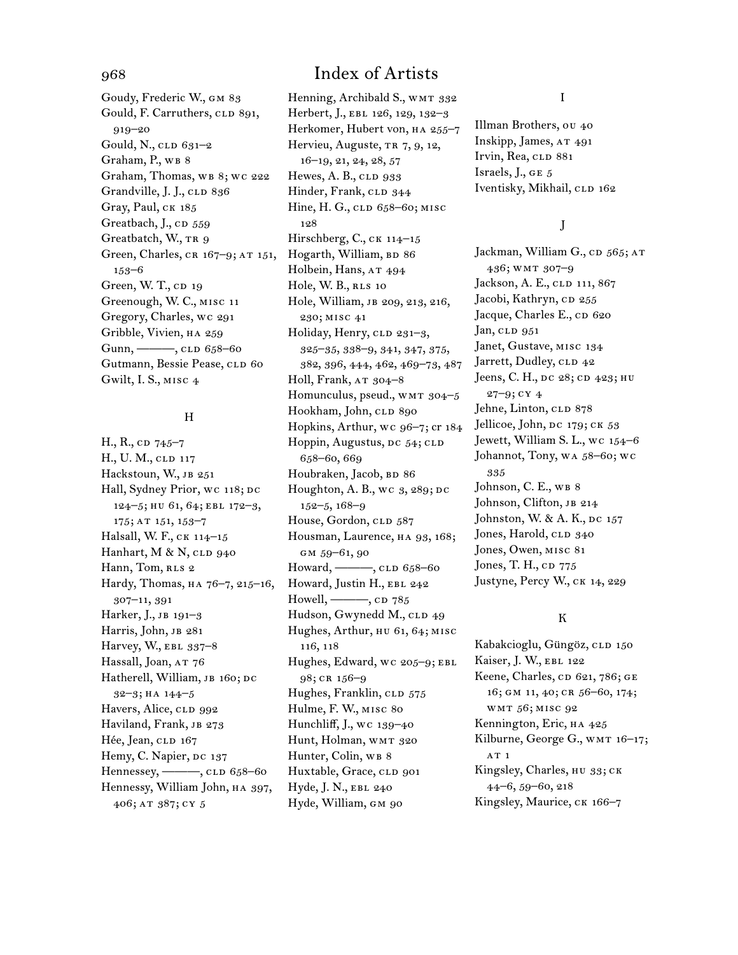Goudy, Frederic W., gm 83 Gould, F. Carruthers, CLD 891, 919–20 Gould, N.,  $CLD$  631–2 Graham, P., WB 8 Graham, Thomas, WB 8; WC 222 Grandville, J. J., CLD 836 Gray, Paul, CK 185 Greatbach, J., CD 559 Greatbatch, W., TR 9 Green, Charles, CR 167-9; AT 151, 153–6 Green, W. T., CD 19 Greenough, W. C., misc 11 Gregory, Charles, wc 291 Gribble, Vivien, ha 259 Gunn, ———, CLD 658–60 Gutmann, Bessie Pease, CLD 60 Gwilt, I. S., misc 4

#### H

H., R., cp  $745-7$ H., U. M., CLD 117 Hackstoun, W., JB 251 Hall, Sydney Prior, wc 118; DC 124–5; hu 61, 64; ebl 172–3, 175; at 151, 153–7 Halsall, W. F., CK 114-15 Hanhart, M & N,  $CLD$  940 Hann, Tom, RLS 2 Hardy, Thomas, на 76-7, 215-16, 307–11, 391 Harker, J., JB 191-3 Harris, John, JB 281 Harvey, W., EBL 337-8 Hassall, Joan, AT 76 Hatherell, William, JB 160; DC 32–3; ha 144–5 Havers, Alice, CLD 992 Haviland, Frank, JB 273 Hée, Jean, CLD 167 Hemy, C. Napier, DC 137 Hennessey, ——, CLD 658-60 Hennessy, William John, HA 397, 406; at 387; cy 5

Henning, Archibald S., WMT 332 Herbert, J., EBL 126, 129, 132-3 Herkomer, Hubert von, HA 255-7 Hervieu, Auguste, TR 7, 9, 12, 16–19, 21, 24, 28, 57 Hewes, A. B.,  $CLD$  933 Hinder, Frank, CLD 344 Hine, H. G., CLD 658-60; MISC 128 Hirschberg, C., CK 114-15 Hogarth, William, BD 86 Holbein, Hans, AT 494 Hole, W. B., RLS 10 Hole, William, jb 209, 213, 216, 230; misc 41 Holiday, Henry, CLD 231-3, 325–35, 338–9, 341, 347, 375, 382, 396, 444, 462, 469–73, 487 Holl, Frank, AT 304-8 Homunculus, pseud., WMT 304-5 Hookham, John, CLD 890 Hopkins, Arthur, wc 96–7; cr 184 Hoppin, Augustus, DC 54; CLD 658–60, 669 Houbraken, Jacob, BD 86 Houghton, A. B., wc  $3, 289$ ; DC 152–5, 168–9 House, Gordon, CLD 587 Housman, Laurence, HA 93, 168; GM 59-61, 90 Howard, ——, CLD 658-60 Howard, Justin H., EBL 242 Howell,  $\longrightarrow$ , cp  $785$ Hudson, Gwynedd M., CLD 49 Hughes, Arthur, HU 61, 64; MISC 116, 118 Hughes, Edward, wc 205–9; ebl 98; cr 156–9 Hughes, Franklin, CLD 575 Hulme, F. W., misc 80 Hunchliff, J., wc 139–40 Hunt, Holman, WMT 320 Hunter, Colin, WB 8 Huxtable, Grace, CLD 901 Hyde, J. N., EBL 240

Hyde, William, GM 90

I

Illman Brothers, ou 40 Inskipp, James, AT 491 Irvin, Rea, CLD 881 Israels, J., ge 5 Iventisky, Mikhail, CLD 162

### J

Jackman, William G., CD 565; AT 436; wmt 307–9 Jackson, A. E., CLD 111, 867 Jacobi, Kathryn, cD 255 Jacque, Charles E., CD 620 Jan, CLD 951 Janet, Gustave, misc 134 Jarrett, Dudley, CLD 42 Jeens, C. H., DC 28; CD 423; HU 27–9; cy 4 Jehne, Linton, CLD 878 Jellicoe, John, DC 179; CK 53 Jewett, William S. L., wc 154–6 Johannot, Tony, wa 58–60; wc 335 Johnson, C. E., WB 8 Johnson, Clifton, JB 214 Johnston, W. & A. K., DC 157 Jones, Harold, CLD 340 Jones, Owen, misc 81 Jones, T. H., cp 775 Justyne, Percy W., ck 14, 229

### K

Kabakcioglu, Güngöz, cLD 150 Kaiser, J. W., EBL 122 Keene, Charles, CD 621, 786; GE 16; gm 11, 40; cr 56–60, 174; wmt 56; misc 92 Kennington, Eric, ha 425 Kilburne, George G., WMT 16-17; AT 1 Kingsley, Charles, hu 33; ck 44–6, 59–60, 218 Kingsley, Maurice, CK 166-7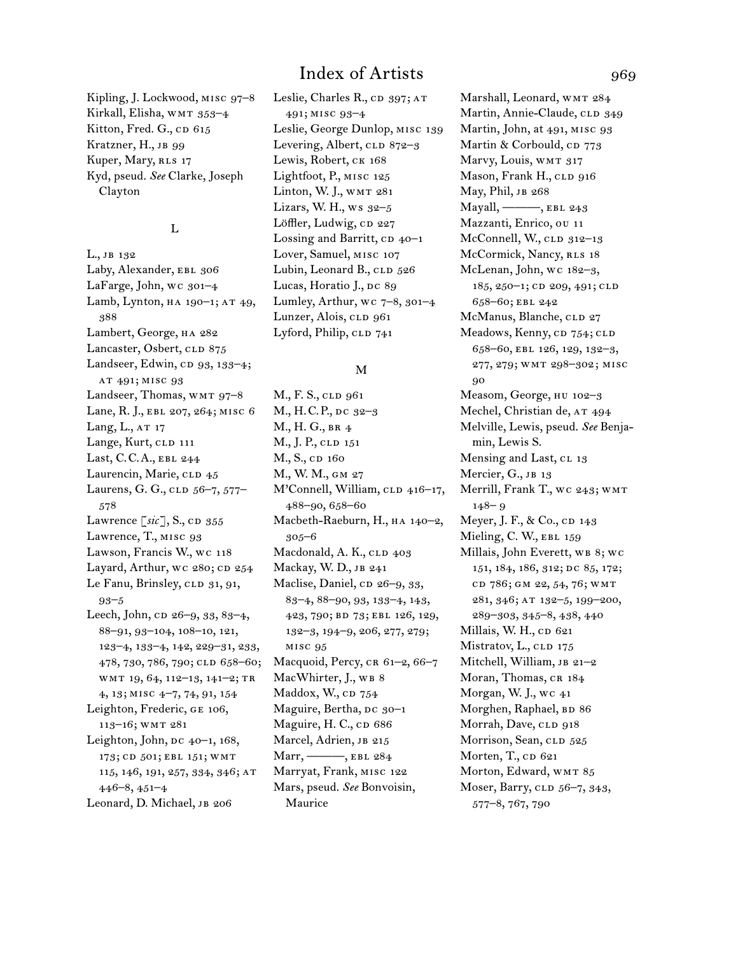Kipling, J. Lockwood, misc 97–8 Kirkall, Elisha, WMT 353-4 Kitton, Fred. G.,  $CD$  615 Kratzner, H., JB 99 Kuper, Mary, RLS 17 Kyd, pseud. *See* Clarke, Joseph Clayton

#### L

L., jb 132 Laby, Alexander, EBL 306 LaFarge, John, wc 301-4 Lamb, Lynton, HA 190-1; AT 49, 388 Lambert, George, HA 282 Lancaster, Osbert, CLD 875 Landseer, Edwin, CD 93, 133-4; at 491; misc 93 Landseer, Thomas, WMT 97-8 Lane, R. J., ebl 207, 264; misc 6 Lang, L., AT 17 Lange, Kurt, CLD 111 Last, C.C.A., ebl 244 Laurencin, Marie, CLD 45 Laurens, G. G., clp 56-7, 577-578 Lawrence  $\lceil \textit{sic} \rceil$ , S., cd  $355$ Lawrence, T., MISC 93 Lawson, Francis W., wc 118 Layard, Arthur, wc 280; CD 254 Le Fanu, Brinsley, CLD 31, 91, 93–5 Leech, John, cp 26-9, 33, 83-4, 88–91, 93–104, 108–10, 121, 123–4, 133–4, 142, 229–31, 233, 478, 730, 786, 790; CLD 658-60; wmt 19, 64, 112–13, 141–2; tr 4, 13; misc 4–7, 74, 91, 154 Leighton, Frederic, ge 106, 113–16; wmt 281 Leighton, John,  $pc$   $40-1$ ,  $168$ , 173; CD 501; EBL 151; WMT 115, 146, 191, 257, 334, 346; at 446–8, 451–4 Leonard, D. Michael, JB 206

Leslie, Charles R., CD 397; AT 491; misc 93–4 Leslie, George Dunlop, misc 139 Levering, Albert, CLD 872-3 Lewis, Robert, CK 168 Lightfoot, P., misc 125 Linton, W. J., WMT 281 Lizars, W. H., ws 32–5 Löffler, Ludwig, CD 227 Lossing and Barritt,  $CD$  40–1 Lover, Samuel, misc 107 Lubin, Leonard B., CLD 526 Lucas, Horatio J., Dc 89 Lumley, Arthur, wc  $7-8$ ,  $301-4$ Lunzer, Alois, CLD 961 Lyford, Philip, CLD 741

#### M

M., F. S., CLD 961 M., H.C.P., dc 32–3 M., H. G., br 4 M., J. P., CLD 151 M., S., cp 160 M., W. M., gm 27 M'Connell, William, CLD 416-17, 488–90, 658–60 Macbeth-Raeburn, H., ha 140–2, 305–6 Macdonald, A. K., CLD 403 Mackay, W. D., jb 241 Maclise, Daniel, cp 26-9, 33, 83–4, 88–90, 93, 133–4, 143, 423, 790; bd 73; ebl 126, 129, 132–3, 194–9, 206, 277, 279; misc 95 Macquoid, Percy, CR 61-2, 66-7 MacWhirter, J., WB 8 Maddox, W.,  $CD$   $754$ Maguire, Bertha, DC 30-1 Maguire, H. C., cp 686 Marcel, Adrien, JB 215 Marr, ———, EBL 284 Marryat, Frank, misc 122 Mars, pseud. *See* Bonvoisin, Maurice

Marshall, Leonard, wmt 284 Martin, Annie-Claude, CLD 349 Martin, John, at 491, MISC 93 Martin & Corbould, CD 773 Marvy, Louis, WMT 317 Mason, Frank H., CLD 916 May, Phil, JB 268 Mayall, ———, ebl 243 Mazzanti, Enrico, ou 11 McConnell, W., CLD 312-13 McCormick, Nancy, RLS 18 McLenan, John, wc 182–3, 185, 250-1; CD 209, 491; CLD 658–60; ebl 242 McManus, Blanche, CLD 27 Meadows, Kenny, CD 754; CLD 658–60, ebl 126, 129, 132–3, 277, 279; wmt 298–302; misc 90 Measom, George, hu 102–3 Mechel, Christian de, AT 494 Melville, Lewis, pseud. *See* Benjamin, Lewis S. Mensing and Last, CL 13 Mercier, G., JB 13 Merrill, Frank T., wc 243; wmt 148– 9 Meyer, J. F., & Co., cp 143 Mieling, C. W., EBL 159 Millais, John Everett, wb 8; wc 151, 184, 186, 312; DC 85, 172; cd 786; GM 22, 54, 76; WMT 281, 346; at 132–5, 199–200, 289–303, 345–8, 438, 440 Millais, W. H., CD 621 Mistratov, L., CLD 175 Mitchell, William, JB 21-2 Moran, Thomas, CR 184 Morgan, W. J., wc 41 Morghen, Raphael, BD 86 Morrah, Dave, CLD 918 Morrison, Sean, CLD 525 Morten, T., CD 621 Morton, Edward, WMT 85 Moser, Barry, CLD 56-7, 343, 577–8, 767, 790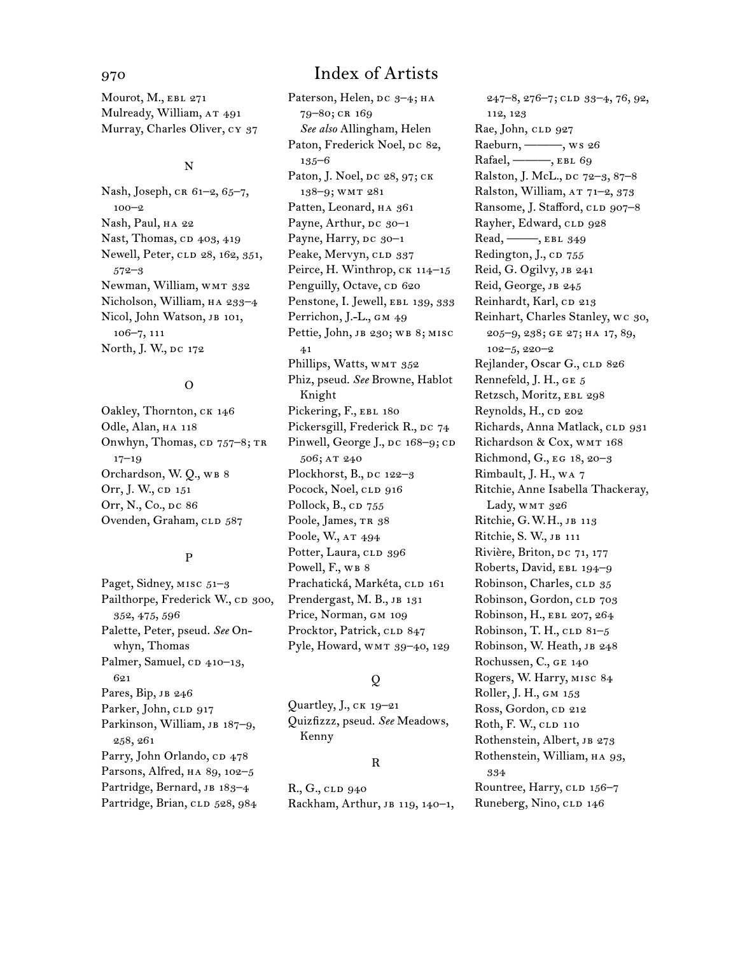Mourot, M., EBL 271 Mulready, William, AT 491 Murray, Charles Oliver, cy 37

#### N

Nash, Joseph, CR 61-2, 65-7, 100–2 Nash, Paul, ha 22 Nast, Thomas, cp 403, 419 Newell, Peter, CLD 28, 162, 351, 572–3 Newman, William, WMT 332 Nicholson, William, ha 233–4 Nicol, John Watson, JB 101, 106–7, 111 North, J. W., DC 172

#### O

Oakley, Thornton, ck 146 Odle, Alan, HA 118 Onwhyn, Thomas,  $CD$  757–8; TR 17–19 Orchardson, W. O., WB 8 Orr, J. W., cp 151 Orr, N., Co., DC 86 Ovenden, Graham, CLD 587

#### P

Paget, Sidney, MISC 51-3 Pailthorpe, Frederick W., CD 300, 352, 475, 596 Palette, Peter, pseud. *See* Onwhyn, Thomas Palmer, Samuel, CD 410–13, 621 Pares, Bip, JB 246 Parker, John, CLD 917 Parkinson, William, JB 187-9, 258, 261 Parry, John Orlando, CD 478 Parsons, Alfred, ha 89, 102–5 Partridge, Bernard, JB 183-4 Partridge, Brian, CLD 528, 984

## 970 Index of Artists

Paterson, Helen, DC 3-4; HA 79–80; cr 169 *See also* Allingham, Helen Paton, Frederick Noel, Dc 82, 135–6 Paton, J. Noel, DC 28, 97; CK 138–9; wmt 281 Patten, Leonard, HA 361 Payne, Arthur,  $pc$  30–1 Payne, Harry, DC 30-1 Peake, Mervyn, CLD 337 Peirce, H. Winthrop, CK 114-15 Penguilly, Octave, CD 620 Penstone, I. Jewell, EBL 139, 333 Perrichon, J.-L., GM 49 Pettie, John, JB 230; WB 8; MISC 41 Phillips, Watts, WMT 352 Phiz, pseud. *See* Browne, Hablot Knight Pickering, F., EBL 180 Pickersgill, Frederick R., DC 74 Pinwell, George J.,  $pc$  168–9;  $cp$ 506; AT 240 Plockhorst, B.,  $pc$  122–3 Pocock, Noel, CLD 916 Pollock,  $B_{n}$ ,  $CD$  755 Poole, James, TR 38 Poole, W., AT 494 Potter, Laura, CLD 396 Powell, F., WB 8 Prachatická, Markéta, CLD 161 Prendergast, M. B., JB 131 Price, Norman, GM 109 Procktor, Patrick, CLD 847 Pyle, Howard, wmt 39–40, 129

### Q

Quartley, J., ck 19–21 Quizfizzz, pseud. *See* Meadows, Kenny

#### R

R., G., CLD 940 Rackham, Arthur, jb 119, 140–1,

247–8, 276–7; cld 33–4, 76, 92, 112, 123 Rae, John, CLD 927 Raeburn, ———, ws 26 Rafael, ———, EBL 69 Ralston, J. McL., DC 72-3, 87-8 Ralston, William, AT 71-2, 373 Ransome, J. Stafford, CLD 907–8 Rayher, Edward, CLD 928 Read, ——, EBL 349 Redington, J., CD 755 Reid, G. Ogilvy, JB 241 Reid, George, JB 245 Reinhardt, Karl, cp 213 Reinhart, Charles Stanley, wc 30, 205–9, 238; ge 27; ha 17, 89, 102–5, 220–2 Rejlander, Oscar G., CLD 826 Rennefeld, J. H., ge 5 Retzsch, Moritz, EBL 298 Reynolds, H., CD 202 Richards, Anna Matlack, CLD 931 Richardson & Cox, WMT 168 Richmond, G., eg 18, 20–3 Rimbault, J. H., wa 7 Ritchie, Anne Isabella Thackeray, Lady, WMT 326 Ritchie, G.W.H., jb 113 Ritchie, S. W., jb 111 Rivière, Briton, DC 71, 177 Roberts, David, EBL 194-9 Robinson, Charles, CLD 35 Robinson, Gordon, CLD 703 Robinson, H., ebl 207, 264 Robinson, T. H.,  $CLD$   $81-5$ Robinson, W. Heath, JB 248 Rochussen, C., ge 140 Rogers, W. Harry, misc 84 Roller, J. H., gm 153 Ross, Gordon, cp 212 Roth, F. W., CLD 110 Rothenstein, Albert, JB 273 Rothenstein, William, ha 93, 334 Rountree, Harry, CLD 156-7 Runeberg, Nino, CLD 146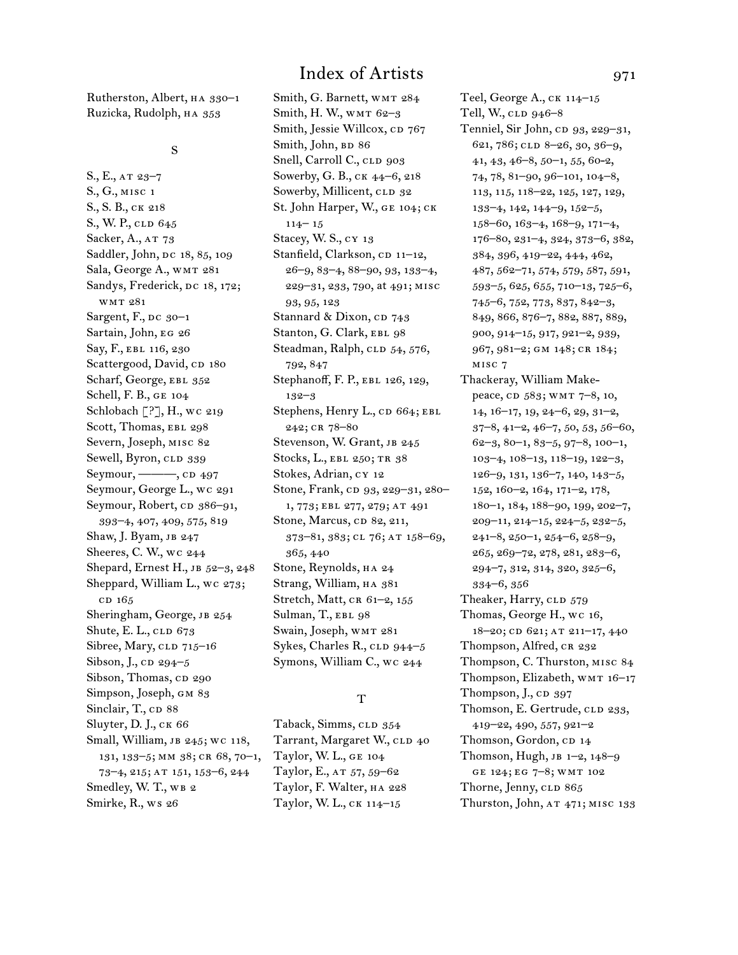Rutherston, Albert, ha 330–1 Ruzicka, Rudolph, HA 353

S., E., at 23–7 S., G., misc 1 S., S. B., ck 218 S., W. P., CLD 645 Sacker, A., AT 73 Saddler, John, DC 18, 85, 109 Sala, George A., WMT 281 Sandys, Frederick, DC 18, 172; wmt 281 Sargent, F., DC 30-1 Sartain, John, eg 26 Say, F., EBL 116, 230 Scattergood, David, CD 180 Scharf, George, EBL 352 Schell, F. B., ge 104 Schlobach [?], H., wc 219 Scott, Thomas, EBL 298 Severn, Joseph, misc 82 Sewell, Byron, CLD 339 Seymour, ———, CD 497 Seymour, George L., wc 291 Seymour, Robert, cp 386–91, 393–4, 407, 409, 575, 819 Shaw, J. Byam, JB 247 Sheeres, C. W., wc 244 Shepard, Ernest H., JB 52-3, 248 Sheppard, William L., wc 273; cd 165 Sheringham, George, JB 254 Shute, E. L., CLD 673 Sibree, Mary, CLD 715-16 Sibson, J.,  $CD$  294–5 Sibson, Thomas, cp 290 Simpson, Joseph, gm 83 Sinclair, T., cp 88 Sluyter, D. J., ck 66 Small, William, jb 245; wc 118, 131, 133–5; mm 38; cr 68, 70–1, 73–4, 215; at 151, 153–6, 244 Smedley, W. T., WB 2 Smirke, R., ws 26

## Index of Artists 971

Smith, G. Barnett, WMT 284 Smith, H. W., WMT 62-3 Smith, Jessie Willcox, CD 767 Smith, John, BD 86 Snell, Carroll C., CLD 903 Sowerby, G. B., ck 44–6, 218 Sowerby, Millicent, CLD 32 St. John Harper, W., ge 104; ck 114– 15 Stacey, W. S., cy 13 Stanfield, Clarkson, CD 11-12, 26–9, 83–4, 88–90, 93, 133–4, 229–31, 233, 790, at 491; misc 93, 95, 123 Stannard & Dixon, CD 743 Stanton, G. Clark, EBL 98 Steadman, Ralph, CLD 54, 576, 792, 847 Stephanoff, F. P., EBL 126, 129, 132–3 Stephens, Henry L., CD 664; EBL 242; cr 78–80 Stevenson, W. Grant, JB 245 Stocks, L., EBL 250; TR 38 Stokes, Adrian, cy 12 Stone, Frank, cp 93, 229-31, 280-1, 773; ebl 277, 279; at 491 Stone, Marcus, cp 82, 211, 373–81, 383; cl 76; at 158–69, 365, 440 Stone, Reynolds, HA 24 Strang, William, HA 381 Stretch, Matt, CR 61-2, 155 Sulman, T., EBL 98 Swain, Joseph, WMT 281 Sykes, Charles R.,  $CLD$  944–5 Symons, William C., wc 244

#### T

Taback, Simms, CLD 354 Tarrant, Margaret W., CLD 40 Taylor, W. L., ge 104 Taylor, E., AT 57, 59-62 Taylor, F. Walter, ha 228 Taylor, W. L., ck 114–15

Teel, George A., ck 114–15 Tell, W., CLD 946-8 Tenniel, Sir John, cp 93, 229-31, 621, 786; cld 8–26, 30, 36–9, 41, 43, 46–8, 50–1, 55, 60-2, 74, 78, 81–90, 96–101, 104–8, 113, 115, 118–22, 125, 127, 129, 133–4, 142, 144–9, 152–5, 158–60, 163–4, 168–9, 171–4, 176–80, 231–4, 324, 373–6, 382, 384, 396, 419–22, 444, 462, 487, 562–71, 574, 579, 587, 591, 593–5, 625, 655, 710–13, 725–6, 745–6, 752, 773, 837, 842–3, 849, 866, 876–7, 882, 887, 889, 900, 914–15, 917, 921–2, 939, 967, 981–2; gm 148; cr 184; misc 7

Thackeray, William Makepeace, cD 583; WMT 7-8, 10, 14, 16–17, 19, 24–6, 29, 31–2, 37–8, 41–2, 46–7, 50, 53, 56–60, 62–3, 80–1, 83–5, 97–8, 100–1, 103–4, 108–13, 118–19, 122–3, 126–9, 131, 136–7, 140, 143–5, 152, 160–2, 164, 171–2, 178, 180–1, 184, 188–90, 199, 202–7, 209–11, 214–15, 224–5, 232–5, 241–8, 250–1, 254–6, 258–9, 265, 269–72, 278, 281, 283–6, 294–7, 312, 314, 320, 325–6, 334–6, 356 Theaker, Harry, CLD 579 Thomas, George H., wc 16, 18–20; CD 621; AT 211–17, 440 Thompson, Alfred, CR 232 Thompson, C. Thurston, misc 84 Thompson, Elizabeth, WMT 16-17 Thompson,  $J_{\cdot}$ ,  $CD$  397 Thomson, E. Gertrude, CLD 233, 419–22, 490, 557, 921–2 Thomson, Gordon, cp 14 Thomson, Hugh, jb 1–2, 148–9 ge 124; eg 7–8; wmt 102 Thorne, Jenny, CLD 865 Thurston, John, AT 471; MISC 133

S